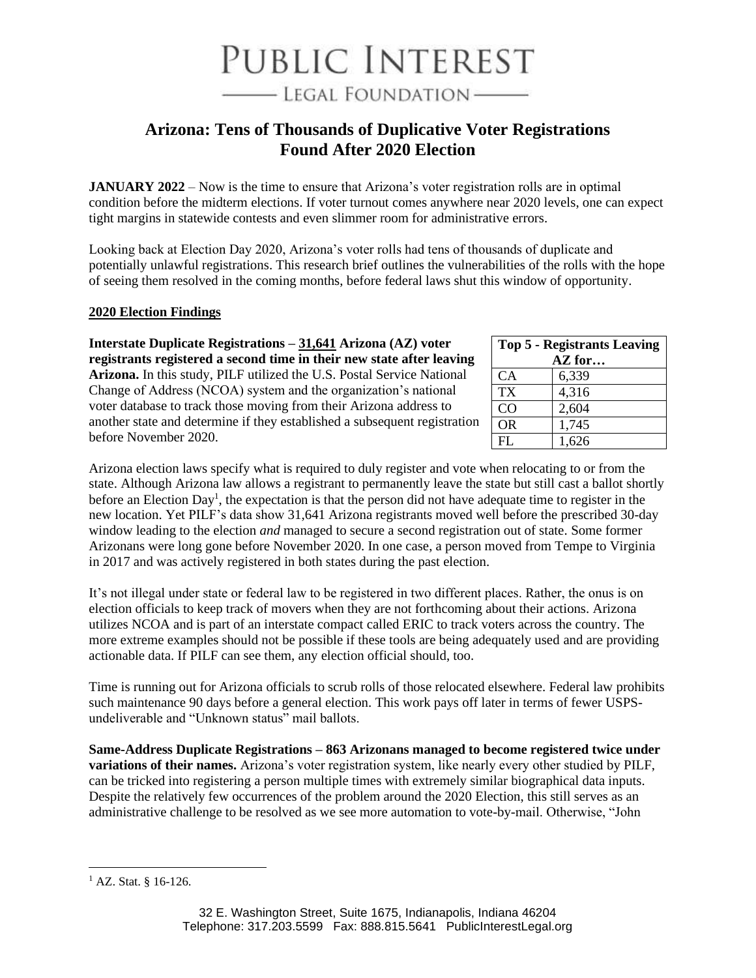# PUBLIC INTEREST - LEGAL FOUNDATION-

## **Arizona: Tens of Thousands of Duplicative Voter Registrations Found After 2020 Election**

**JANUARY 2022** – Now is the time to ensure that Arizona's voter registration rolls are in optimal condition before the midterm elections. If voter turnout comes anywhere near 2020 levels, one can expect tight margins in statewide contests and even slimmer room for administrative errors.

Looking back at Election Day 2020, Arizona's voter rolls had tens of thousands of duplicate and potentially unlawful registrations. This research brief outlines the vulnerabilities of the rolls with the hope of seeing them resolved in the coming months, before federal laws shut this window of opportunity.

### **2020 Election Findings**

| Interstate Duplicate Registrations - 31,641 Arizona (AZ) voter            |
|---------------------------------------------------------------------------|
| registrants registered a second time in their new state after leaving     |
| Arizona. In this study, PILF utilized the U.S. Postal Service National    |
| Change of Address (NCOA) system and the organization's national           |
| voter database to track those moving from their Arizona address to        |
| another state and determine if they established a subsequent registration |
| before November 2020.                                                     |

| <b>Top 5 - Registrants Leaving</b><br>AZ for |       |  |
|----------------------------------------------|-------|--|
| CA                                           | 6,339 |  |
| <b>TX</b>                                    | 4,316 |  |
| CO                                           | 2,604 |  |
| <b>OR</b>                                    | 1,745 |  |
| FL.                                          | 1,626 |  |

Arizona election laws specify what is required to duly register and vote when relocating to or from the state. Although Arizona law allows a registrant to permanently leave the state but still cast a ballot shortly before an Election Day<sup>1</sup>, the expectation is that the person did not have adequate time to register in the new location. Yet PILF's data show 31,641 Arizona registrants moved well before the prescribed 30-day window leading to the election *and* managed to secure a second registration out of state. Some former Arizonans were long gone before November 2020. In one case, a person moved from Tempe to Virginia in 2017 and was actively registered in both states during the past election.

It's not illegal under state or federal law to be registered in two different places. Rather, the onus is on election officials to keep track of movers when they are not forthcoming about their actions. Arizona utilizes NCOA and is part of an interstate compact called ERIC to track voters across the country. The more extreme examples should not be possible if these tools are being adequately used and are providing actionable data. If PILF can see them, any election official should, too.

Time is running out for Arizona officials to scrub rolls of those relocated elsewhere. Federal law prohibits such maintenance 90 days before a general election. This work pays off later in terms of fewer USPSundeliverable and "Unknown status" mail ballots.

**Same-Address Duplicate Registrations – 863 Arizonans managed to become registered twice under variations of their names.** Arizona's voter registration system, like nearly every other studied by PILF, can be tricked into registering a person multiple times with extremely similar biographical data inputs. Despite the relatively few occurrences of the problem around the 2020 Election, this still serves as an administrative challenge to be resolved as we see more automation to vote-by-mail. Otherwise, "John

<sup>&</sup>lt;sup>1</sup> AZ. Stat. § 16-126.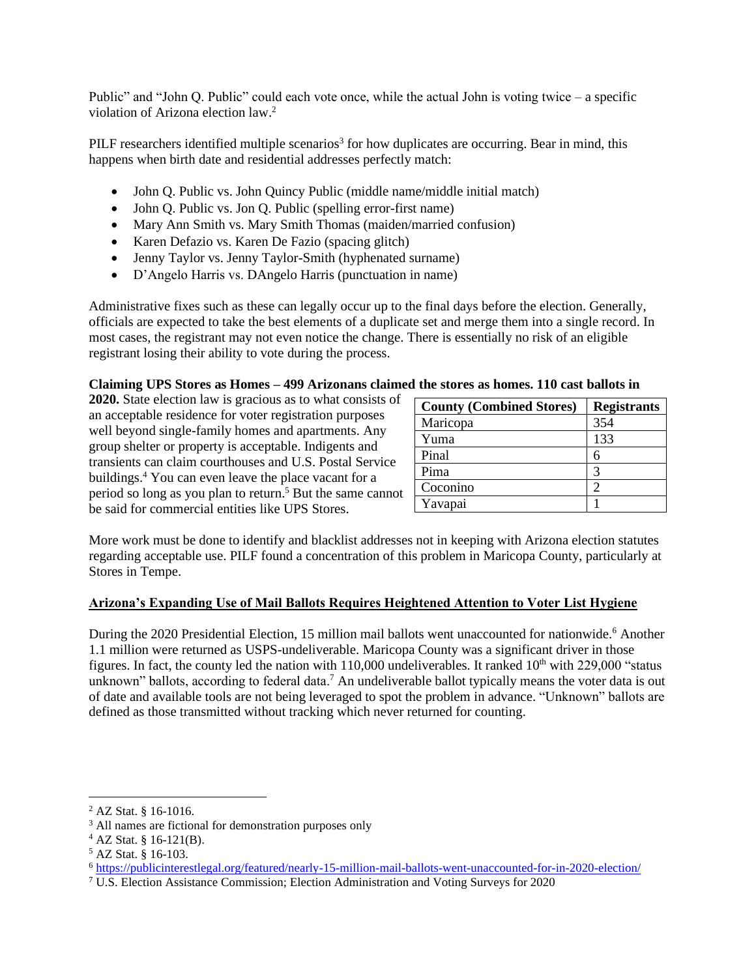Public" and "John Q. Public" could each vote once, while the actual John is voting twice – a specific violation of Arizona election law.<sup>2</sup>

PILF researchers identified multiple scenarios<sup>3</sup> for how duplicates are occurring. Bear in mind, this happens when birth date and residential addresses perfectly match:

- John Q. Public vs. John Quincy Public (middle name/middle initial match)
- John Q. Public vs. Jon Q. Public (spelling error-first name)
- Mary Ann Smith vs. Mary Smith Thomas (maiden/married confusion)
- Karen Defazio vs. Karen De Fazio (spacing glitch)
- Jenny Taylor vs. Jenny Taylor-Smith (hyphenated surname)
- D'Angelo Harris vs. DAngelo Harris (punctuation in name)

Administrative fixes such as these can legally occur up to the final days before the election. Generally, officials are expected to take the best elements of a duplicate set and merge them into a single record. In most cases, the registrant may not even notice the change. There is essentially no risk of an eligible registrant losing their ability to vote during the process.

#### **Claiming UPS Stores as Homes – 499 Arizonans claimed the stores as homes. 110 cast ballots in**

**2020.** State election law is gracious as to what consists of an acceptable residence for voter registration purposes well beyond single-family homes and apartments. Any group shelter or property is acceptable. Indigents and transients can claim courthouses and U.S. Postal Service buildings. <sup>4</sup> You can even leave the place vacant for a period so long as you plan to return. <sup>5</sup> But the same cannot be said for commercial entities like UPS Stores.

| <b>County (Combined Stores)</b> | <b>Registrants</b> |
|---------------------------------|--------------------|
| Maricopa                        | 354                |
| Yuma                            | 133                |
| Pinal                           | 6                  |
| Pima                            | 3                  |
| Coconino                        |                    |
| Yavapai                         |                    |

More work must be done to identify and blacklist addresses not in keeping with Arizona election statutes regarding acceptable use. PILF found a concentration of this problem in Maricopa County, particularly at Stores in Tempe.

#### **Arizona's Expanding Use of Mail Ballots Requires Heightened Attention to Voter List Hygiene**

During the 2020 Presidential Election, 15 million mail ballots went unaccounted for nationwide.<sup>6</sup> Another 1.1 million were returned as USPS-undeliverable. Maricopa County was a significant driver in those figures. In fact, the county led the nation with  $110,000$  undeliverables. It ranked  $10<sup>th</sup>$  with  $229,000$  "status unknown" ballots, according to federal data.<sup>7</sup> An undeliverable ballot typically means the voter data is out of date and available tools are not being leveraged to spot the problem in advance. "Unknown" ballots are defined as those transmitted without tracking which never returned for counting.

<sup>2</sup> AZ Stat. § 16-1016.

<sup>&</sup>lt;sup>3</sup> All names are fictional for demonstration purposes only

 $4$  AZ Stat. § 16-121(B).

<sup>5</sup> AZ Stat. § 16-103.

<sup>6</sup> <https://publicinterestlegal.org/featured/nearly-15-million-mail-ballots-went-unaccounted-for-in-2020-election/>

<sup>7</sup> U.S. Election Assistance Commission; Election Administration and Voting Surveys for 2020